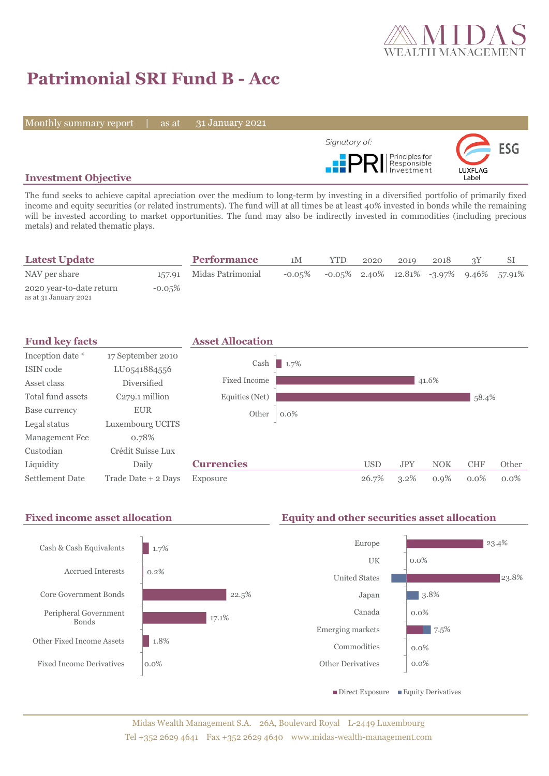

# **Patrimonial SRI Fund B - Acc**

Monthly summary report | as at

31 January 2021



# **Investment Objective**

The fund seeks to achieve capital apreciation over the medium to long-term by investing in a diversified portfolio of primarily fixed income and equity securities (or related instruments). The fund will at all times be at least 40% invested in bonds while the remaining will be invested according to market opportunities. The fund may also be indirectly invested in commodities (including precious metals) and related thematic plays.

| <b>Latest Update</b>                              |           | <b>Performance</b>       | 1М        | <b>YTD</b>                                 | 2020 | 2019 | 2018 |  |
|---------------------------------------------------|-----------|--------------------------|-----------|--------------------------------------------|------|------|------|--|
| NAV per share                                     |           | 157.91 Midas Patrimonial | $-0.05\%$ | $-0.05\%$ 2.40% 12.81% -3.97% 9.46% 57.91% |      |      |      |  |
| 2020 year-to-date return<br>as at 31 January 2021 | $-0.05\%$ |                          |           |                                            |      |      |      |  |



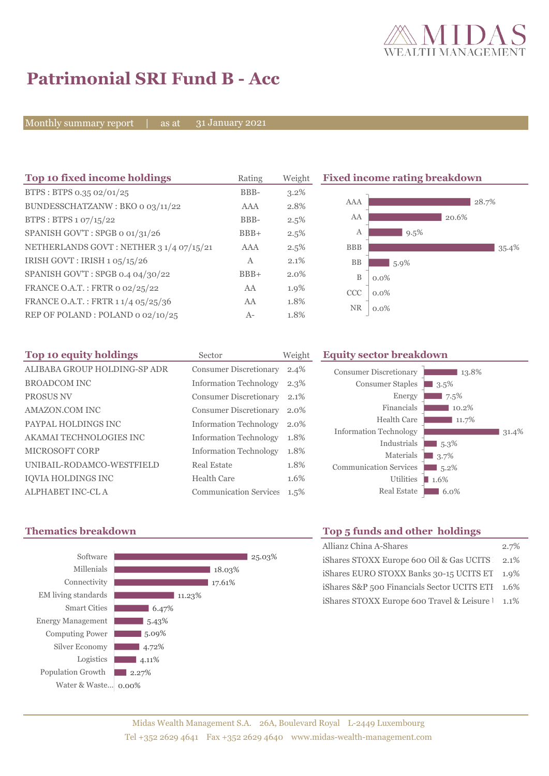

# **Patrimonial SRI Fund B - Acc**

Monthly summary report | as at

31 January 2021

| Top 10 fixed income holdings            | Rating | Weight  |            | <b>Fixed income rating breakdown</b> |       |       |
|-----------------------------------------|--------|---------|------------|--------------------------------------|-------|-------|
| BTPS: BTPS 0.35 02/01/25                | BBB-   | $3.2\%$ |            |                                      |       |       |
| BUNDESSCHATZANW: BKO 0 03/11/22         | AAA    | 2.8%    | AAA        |                                      |       | 28.7% |
| BTPS: BTPS 1 07/15/22                   | BBB-   | 2.5%    | AA         |                                      | 20.6% |       |
| SPANISH GOV'T: SPGB o 01/31/26          | $BBB+$ | 2.5%    | Α          | 9.5%                                 |       |       |
| NETHERLANDS GOVT: NETHER 3 1/4 07/15/21 | AAA    | 2.5%    | <b>BBB</b> |                                      |       | 35.4% |
| IRISH GOVT : IRISH $1.05/15/26$         | A      | $2.1\%$ | <b>BB</b>  | $5.9\%$                              |       |       |
| SPANISH GOV'T: SPGB 0.4 04/30/22        | $BBB+$ | 2.0%    | B          | $0.0\%$                              |       |       |
| FRANCE O.A.T.: FRTR 0 02/25/22          | AA     | 1.9%    | <b>CCC</b> | $0.0\%$                              |       |       |
| FRANCE O.A.T.: FRTR 1 1/4 05/25/36      | AA     | 1.8%    |            |                                      |       |       |
| REP OF POLAND: POLAND 0 02/10/25        | $A-$   | 1.8%    | NR.        | $0.0\%$                              |       |       |

| Top 10 equity holdings       | Sector                        | Weight  |
|------------------------------|-------------------------------|---------|
| ALIBABA GROUP HOLDING-SP ADR | <b>Consumer Discretionary</b> | $2.4\%$ |
| <b>BROADCOM INC</b>          | <b>Information Technology</b> | 2.3%    |
| <b>PROSUS NV</b>             | <b>Consumer Discretionary</b> | 2.1%    |
| AMAZON.COM INC               | <b>Consumer Discretionary</b> | 2.0%    |
| PAYPAL HOLDINGS INC          | <b>Information Technology</b> | 2.0%    |
| AKAMAI TECHNOLOGIES INC      | <b>Information Technology</b> | 1.8%    |
| MICROSOFT CORP               | <b>Information Technology</b> | 1.8%    |
| UNIBAIL-RODAMCO-WESTFIELD    | Real Estate                   | 1.8%    |
| <b>IOVIA HOLDINGS INC</b>    | Health Care                   | 1.6%    |
| ALPHABET INC-CL A            | <b>Communication Services</b> | 1.5%    |

### **Equity sector breakdown**





# **Thematics breakdown Top 5 funds and other holdings**

| Allianz China A-Shares                           | 2.7% |
|--------------------------------------------------|------|
| iShares STOXX Europe 600 Oil & Gas UCITS 2.1%    |      |
| iShares EURO STOXX Banks 30-15 UCITS ET 1.9%     |      |
| iShares S&P 500 Financials Sector UCITS ETI 1.6% |      |
| iShares STOXX Europe 600 Travel & Leisure 1 1.1% |      |